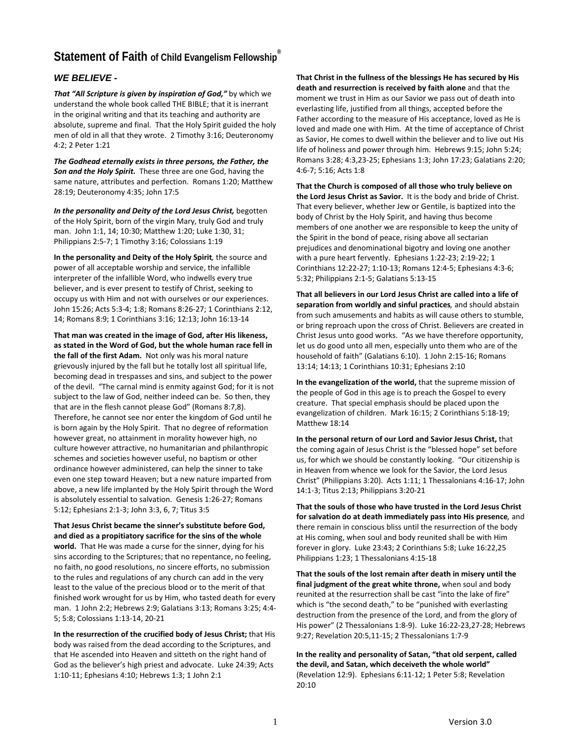## **Statement of Faith of Child Evangelism Fellowship ®**

## *WE BELIEVE -*

*That "All Scripture is given by inspiration of God,"* by which we understand the whole book called THE BIBLE; that it is inerrant in the original writing and that its teaching and authority are absolute, supreme and final. That the Holy Spirit guided the holy men of old in all that they wrote. 2 Timothy 3:16; Deuteronomy 4:2; 2 Peter 1:21

*The Godhead eternally exists in three persons, the Father, the Son and the Holy Spirit.* These three are one God, having the same nature, attributes and perfection. Romans 1:20; Matthew 28:19; Deuteronomy 4:35; John 17:5

*In the personality and Deity of the Lord Jesus Christ,* begotten of the Holy Spirit, born of the virgin Mary, truly God and truly man. John 1:1, 14; 10:30; Matthew 1:20; Luke 1:30, 31; Philippians 2:5-7; 1 Timothy 3:16; Colossians 1:19

**In the personality and Deity of the Holy Spirit***,* the source and power of all acceptable worship and service, the infallible interpreter of the infallible Word, who indwells every true believer, and is ever present to testify of Christ, seeking to occupy us with Him and not with ourselves or our experiences. John 15:26; Acts 5:3-4; 1:8; Romans 8:26-27; 1 Corinthians 2:12, 14; Romans 8:9; 1 Corinthians 3:16; 12:13; John 16:13-14

**That man was created in the image of God, after His likeness, as stated in the Word of God, but the whole human race fell in the fall of the first Adam.** Not only was his moral nature grievously injured by the fall but he totally lost all spiritual life, becoming dead in trespasses and sins, and subject to the power of the devil. "The carnal mind is enmity against God; for it is not subject to the law of God, neither indeed can be. So then, they that are in the flesh cannot please God" (Romans 8:7,8). Therefore, he cannot see nor enter the kingdom of God until he is born again by the Holy Spirit. That no degree of reformation however great, no attainment in morality however high, no culture however attractive, no humanitarian and philanthropic schemes and societies however useful, no baptism or other ordinance however administered, can help the sinner to take even one step toward Heaven; but a new nature imparted from above, a new life implanted by the Holy Spirit through the Word is absolutely essential to salvation. Genesis 1:26-27; Romans 5:12; Ephesians 2:1-3; John 3:3, 6, 7; Titus 3:5

**That Jesus Christ became the sinner's substitute before God, and died as a propitiatory sacrifice for the sins of the whole world.** That He was made a curse for the sinner, dying for his sins according to the Scriptures; that no repentance, no feeling, no faith, no good resolutions, no sincere efforts, no submission to the rules and regulations of any church can add in the very least to the value of the precious blood or to the merit of that finished work wrought for us by Him, who tasted death for every man. 1 John 2:2; Hebrews 2:9; Galatians 3:13; Romans 3:25; 4:4- 5; 5:8; Colossians 1:13-14, 20-21

**In the resurrection of the crucified body of Jesus Christ;** that His body was raised from the dead according to the Scriptures, and that He ascended into Heaven and sitteth on the right hand of God as the believer's high priest and advocate. Luke 24:39; Acts 1:10-11; Ephesians 4:10; Hebrews 1:3; 1 John 2:1

**That Christ in the fullness of the blessings He has secured by His death and resurrection is received by faith alone** and that the moment we trust in Him as our Savior we pass out of death into everlasting life, justified from all things, accepted before the Father according to the measure of His acceptance, loved as He is loved and made one with Him. At the time of acceptance of Christ as Savior, He comes to dwell within the believer and to live out His life of holiness and power through him. Hebrews 9:15; John 5:24; Romans 3:28; 4:3,23-25; Ephesians 1:3; John 17:23; Galatians 2:20; 4:6-7; 5:16; Acts 1:8

**That the Church is composed of all those who truly believe on the Lord Jesus Christ as Savior.** It is the body and bride of Christ. That every believer, whether Jew or Gentile, is baptized into the body of Christ by the Holy Spirit, and having thus become members of one another we are responsible to keep the unity of the Spirit in the bond of peace, rising above all sectarian prejudices and denominational bigotry and loving one another with a pure heart fervently. Ephesians 1:22-23; 2:19-22; 1 Corinthians 12:22-27; 1:10-13; Romans 12:4-5; Ephesians 4:3-6; 5:32; Philippians 2:1-5; Galatians 5:13-15

**That all believers in our Lord Jesus Christ are called into a life of separation from worldly and sinful practices***,* and should abstain from such amusements and habits as will cause others to stumble, or bring reproach upon the cross of Christ. Believers are created in Christ Jesus unto good works. "As we have therefore opportunity, let us do good unto all men, especially unto them who are of the household of faith" (Galatians 6:10). 1 John 2:15-16; Romans 13:14; 14:13; 1 Corinthians 10:31; Ephesians 2:10

**In the evangelization of the world,** that the supreme mission of the people of God in this age is to preach the Gospel to every creature. That special emphasis should be placed upon the evangelization of children. Mark 16:15; 2 Corinthians 5:18-19; Matthew 18:14

**In the personal return of our Lord and Savior Jesus Christ,** that the coming again of Jesus Christ is the "blessed hope" set before us, for which we should be constantly looking. "Our citizenship is in Heaven from whence we look for the Savior, the Lord Jesus Christ" (Philippians 3:20). Acts 1:11; 1 Thessalonians 4:16-17; John 14:1-3; Titus 2:13; Philippians 3:20-21

**That the souls of those who have trusted in the Lord Jesus Christ for salvation do at death immediately pass into His presence***,* and there remain in conscious bliss until the resurrection of the body at His coming, when soul and body reunited shall be with Him forever in glory. Luke 23:43; 2 Corinthians 5:8; Luke 16:22,25 Philippians 1:23; 1 Thessalonians 4:15-18

**That the souls of the lost remain after death in misery until the final judgment of the great white throne,** when soul and body reunited at the resurrection shall be cast "into the lake of fire" which is "the second death," to be "punished with everlasting destruction from the presence of the Lord, and from the glory of His power" (2 Thessalonians 1:8-9). Luke 16:22-23,27-28; Hebrews 9:27; Revelation 20:5,11-15; 2 Thessalonians 1:7-9

**In the reality and personality of Satan, "that old serpent, called the devil, and Satan, which deceiveth the whole world"** (Revelation 12:9). Ephesians 6:11-12; 1 Peter 5:8; Revelation 20:10